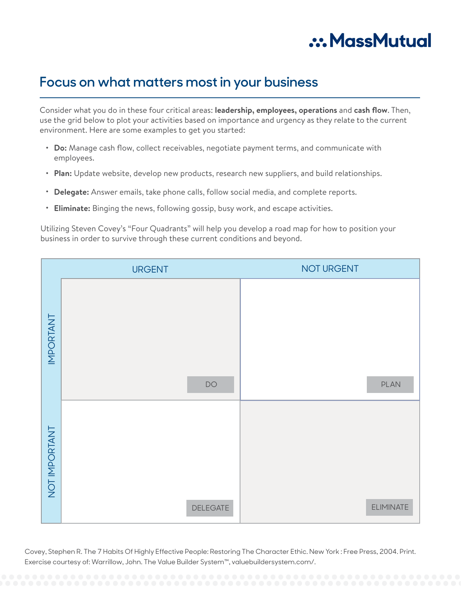

# **Focus on what matters most in your business**

Consider what you do in these four critical areas: **leadership, employees, operations** and **cash flow**. Then, use the grid below to plot your activities based on importance and urgency as they relate to the current environment. Here are some examples to get you started:

- **Do:** Manage cash flow, collect receivables, negotiate payment terms, and communicate with employees.
- Plan: Update website, develop new products, research new suppliers, and build relationships.
- **Delegate:** Answer emails, take phone calls, follow social media, and complete reports. •
- **Eliminate:** Binging the news, following gossip, busy work, and escape activities. •

Utilizing Steven Covey's "Four Quadrants" will help you develop a road map for how to position your business in order to survive through these current conditions and beyond.

|                  | <b>URGENT</b>   | NOT URGENT       |
|------------------|-----------------|------------------|
| <b>INPORTANT</b> | DO              | PLAN             |
| NOT IMPORTANT    | <b>DELEGATE</b> | <b>ELIMINATE</b> |

Exercise courtesy of: Warrillow, John. The Value Builder System™, valuebuildersystem.com/. Covey, Stephen R. The 7 Habits Of Highly Effective People: Restoring The Character Ethic. New York : Free Press, 2004. Print.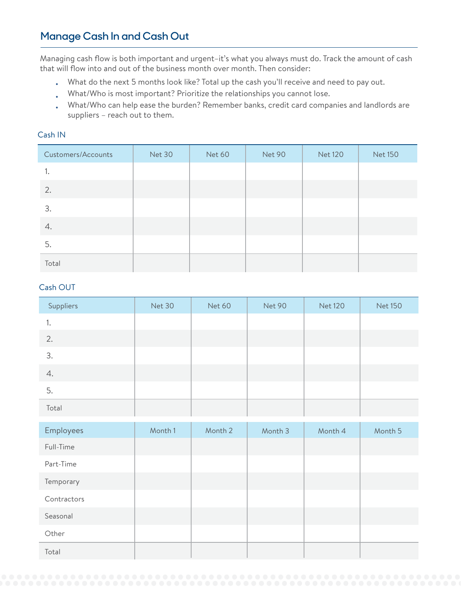# **Manage Cash In and Cash Out**

Managing cash flow is both important and urgent–it's what you always must do. Track the amount of cash that will flow into and out of the business month over month. Then consider:

- What do the next 5 months look like? Total up the cash you'll receive and need to pay out. •
- What/Who is most important? Prioritize the relationships you cannot lose. •
- What/Who can help ease the burden? Remember banks, credit card companies and landlords are suppliers – reach out to them. •

### Cash IN

| Customers/Accounts | Net 30 | <b>Net 60</b> | Net 90 | <b>Net 120</b> | <b>Net 150</b> |
|--------------------|--------|---------------|--------|----------------|----------------|
| ٠.                 |        |               |        |                |                |
| 2.                 |        |               |        |                |                |
| 3.                 |        |               |        |                |                |
| 4.                 |        |               |        |                |                |
| 5.                 |        |               |        |                |                |
| Total              |        |               |        |                |                |

### Cash OUT

| Suppliers | Net 30 | Net 60 | Net 90 | <b>Net 120</b> | <b>Net 150</b> |
|-----------|--------|--------|--------|----------------|----------------|
| ٠.        |        |        |        |                |                |
| 2.        |        |        |        |                |                |
| 3.        |        |        |        |                |                |
| 4.        |        |        |        |                |                |
| 5.        |        |        |        |                |                |
| Total     |        |        |        |                |                |

| Employees   | Month 1 | Month 2 | Month 3 | Month 4 | Month 5 |
|-------------|---------|---------|---------|---------|---------|
| Full-Time   |         |         |         |         |         |
| Part-Time   |         |         |         |         |         |
| Temporary   |         |         |         |         |         |
| Contractors |         |         |         |         |         |
| Seasonal    |         |         |         |         |         |
| Other       |         |         |         |         |         |
| Total       |         |         |         |         |         |